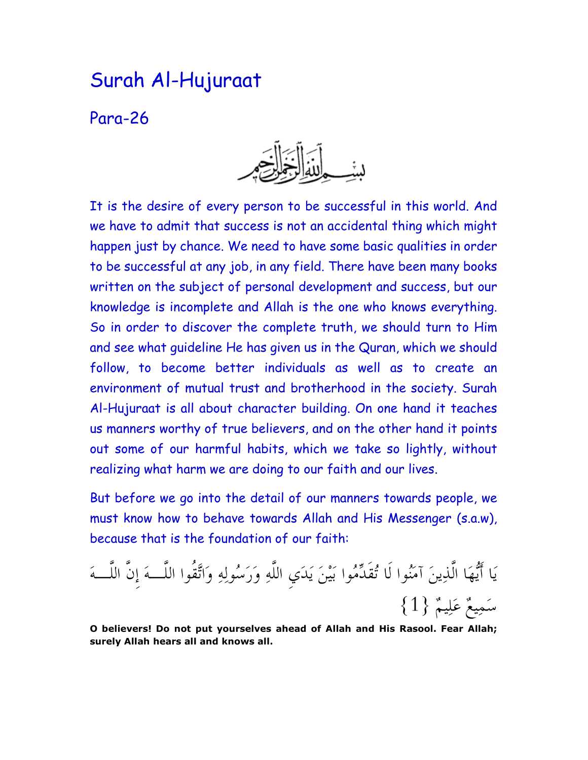## Surah Al-Hujuraat

Para-26



It is the desire of every person to be successful in this world. And we have to admit that success is not an accidental thing which might happen just by chance. We need to have some basic qualities in order to be successful at any job, in any field. There have been many books written on the subject of personal development and success, but our knowledge is incomplete and Allah is the one who knows everything. So in order to discover the complete truth, we should turn to Him and see what guideline He has given us in the Quran, which we should follow, to become better individuals as well as to create an environment of mutual trust and brotherhood in the society. Surah Al-Hujuraat is all about character building. On one hand it teaches us manners worthy of true believers, and on the other hand it points out some of our harmful habits, which we take so lightly, without realizing what harm we are doing to our faith and our lives.

But before we go into the detail of our manners towards people, we must know how to behave towards Allah and His Messenger (s.a.w), because that is the foundation of our faith:

يَا أَيُّهَا الذِينَ آمَنُوا لا تُقدِّمُوا بَيْنَ يَدَيِ اللهِ وَرَسُولِهِ وَاتَّقوا اللَّـــهَ إِن اللَّـــهَ  $\{1\}$  سَمِيعٌ عَلِيمٌ  $\{1\}$ 

O believers! Do not put yourselves ahead of Allah and His Rasool. Fear Allah; surely Allah hears all and knows all.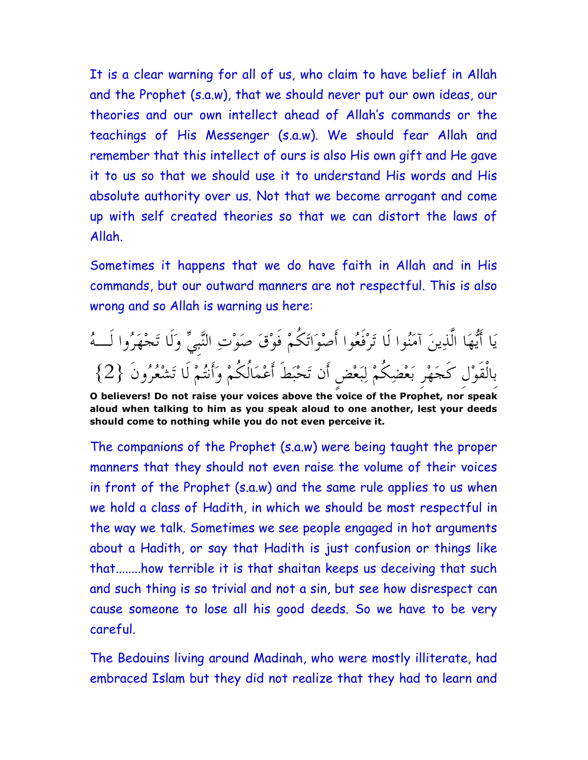It is a clear warning for all of us, who claim to have belief in Allah and the Prophet (s.a.w), that we should never put our own ideas, our theories and our own intellect ahead of Allah's commands or the teachings of His Messenger (s.a.w). We should fear Allah and remember that this intellect of ours is also His own gift and He gave it to us so that we should use it to understand His words and His absolute authority over us. Not that we become arrogant and come up with self created theories so that we can distort the laws of Allah.

Sometimes it happens that we do have faith in Allah and in His commands, but our outward manners are not respectful. This is also wrong and so Allah is warning us here:

يَا أَيُّهَا الذِينَ آمَنُوا لَا تُوْفَعُوا أَصْوَاتَكُمْ فَوْقَ صَوْتِ النَّبِيِّ وَلَا تَجْهَزُوا لِّــهُ بِالْقَوْلِ كَجَهْرِ بَعْضِكُمْ لِبَعْضِ أَن تَحْبَطَ أَعْمَالُكُمْ وَأَنتُمْ لَا تَشْعُرُونَ {2}

The companions of the Prophet (s.a.w) were being taught the proper manners that they should not even raise the volume of their voices in front of the Prophet (s.a.w) and the same rule applies to us when we hold a class of Hadith, in which we should be most respectful in the way we talk. Sometimes we see people engaged in hot arguments about a Hadith, or say that Hadith is just confusion or things like that........how terrible it is that shaitan keeps us deceiving that such and such thing is so trivial and not a sin, but see how disrespect can cause someone to lose all his good deeds. So we have to be very careful.

The Bedouins living around Madinah, who were mostly illiterate, had embraced Islam but they did not realize that they had to learn and

O believers! Do not raise your voices above the voice of the Prophet, nor speak aloud when talking to him as you speak aloud to one another, lest your deeds should come to nothing while you do not even perceive it.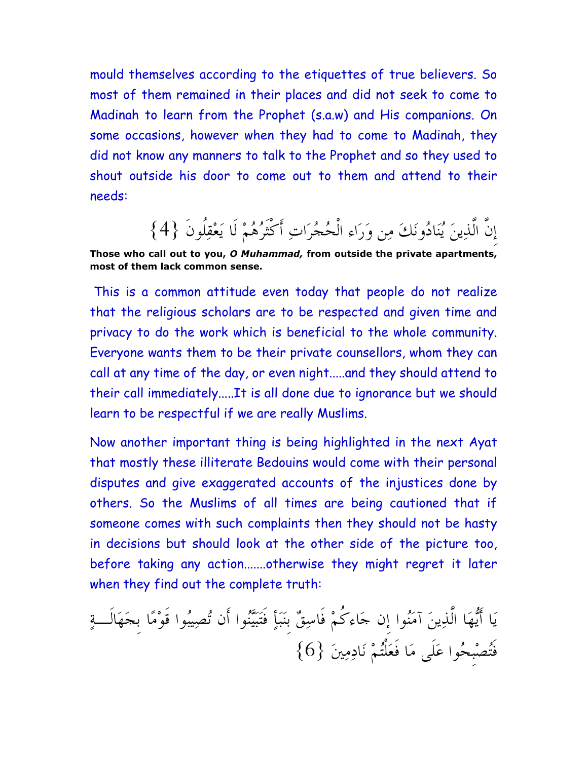mould themselves according to the etiquettes of true believers. So most of them remained in their places and did not seek to come to Madinah to learn from the Prophet (s.a.w) and His companions. On some occasions, however when they had to come to Madinah, they did not know any manners to talk to the Prophet and so they used to shout outside his door to come out to them and attend to their needs:

إِنَّ الَّذِينَ يُنَادُونَكَ مِن وَرَاءِ الْحُجُرَاتِ أَكْثَرُهُمْ لَا يَعْقِلُونَ {4}

Those who call out to you, O Muhammad, from outside the private apartments, most of them lack common sense.

 This is a common attitude even today that people do not realize that the religious scholars are to be respected and given time and privacy to do the work which is beneficial to the whole community. Everyone wants them to be their private counsellors, whom they can call at any time of the day, or even night.....and they should attend to their call immediately.....It is all done due to ignorance but we should learn to be respectful if we are really Muslims.

Now another important thing is being highlighted in the next Ayat that mostly these illiterate Bedouins would come with their personal disputes and give exaggerated accounts of the injustices done by others. So the Muslims of all times are being cautioned that if someone comes with such complaints then they should not be hasty in decisions but should look at the other side of the picture too, before taking any action.......otherwise they might regret it later when they find out the complete truth:

يَا أَيُّهَا الذِينَ آمَنُوا إِن جَاءَكُمْ فاسِقٌ بِنَبَأٍ فَتَبَيَّنُوا أَن تُصِيبُوا قَوْمًا بِجَهَالٍ تَمِ أَيْصْبِحُوا عَلَى مَا فَعَلْتُمْ نَادِمِينَ {6}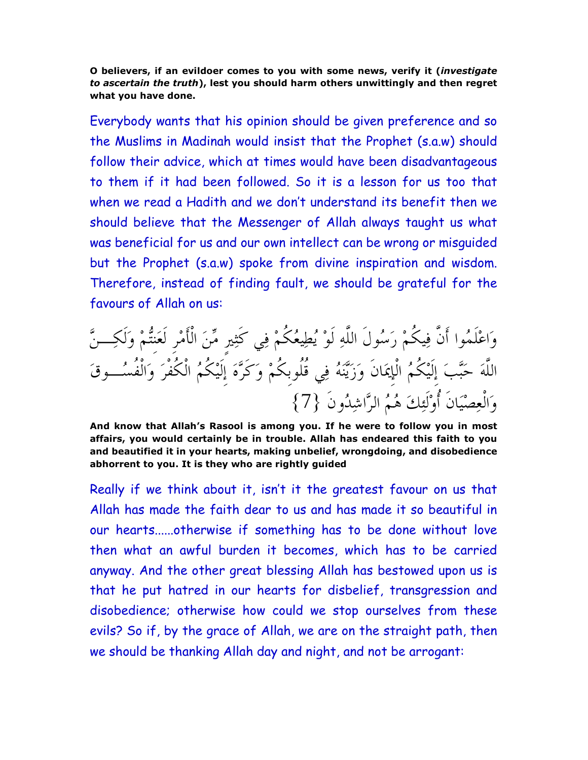O believers, if an evildoer comes to you with some news, verify it (investigate to ascertain the truth), lest you should harm others unwittingly and then regret what you have done.

Everybody wants that his opinion should be given preference and so the Muslims in Madinah would insist that the Prophet (s.a.w) should follow their advice, which at times would have been disadvantageous to them if it had been followed. So it is a lesson for us too that when we read a Hadith and we don't understand its benefit then we should believe that the Messenger of Allah always taught us what was beneficial for us and our own intellect can be wrong or misguided but the Prophet (s.a.w) spoke from divine inspiration and wisdom. Therefore, instead of finding fault, we should be grateful for the favours of Allah on us:

وَاعْلَمُوا أَن فِيكُمْ رَسُولُ اللهِ لوْ يُطِيعُكُمْ فِي كثِيرِ مِّنَ الأَمْرِ لَعَنِتُمْ وَلَكِـــنَّ اللهَ حَبّْبَ إِلَيْكُمُ الْإِيمَانِ وَزَيّْنَهُ فِي قُلُوبِكُمْ وَكُرَّهَ إِلَيْكُمُ الْكُفْرَ وَالْفُسُــوقَ وَالْعِصْيَانَ أَوْلَئِكَ هُمُ الرَّاشِدُونَ {7}

And know that Allah's Rasool is among you. If he were to follow you in most affairs, you would certainly be in trouble. Allah has endeared this faith to you and beautified it in your hearts, making unbelief, wrongdoing, and disobedience abhorrent to you. It is they who are rightly guided

Really if we think about it, isn't it the greatest favour on us that Allah has made the faith dear to us and has made it so beautiful in our hearts......otherwise if something has to be done without love then what an awful burden it becomes, which has to be carried anyway. And the other great blessing Allah has bestowed upon us is that he put hatred in our hearts for disbelief, transgression and disobedience; otherwise how could we stop ourselves from these evils? So if, by the grace of Allah, we are on the straight path, then we should be thanking Allah day and night, and not be arrogant: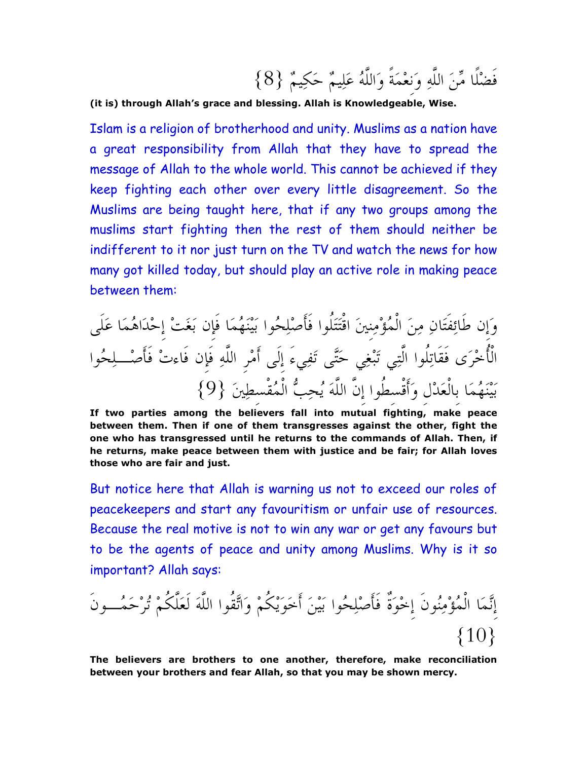(it is) through Allah's grace and blessing. Allah is Knowledgeable, Wise.

Islam is a religion of brotherhood and unity. Muslims as a nation have a great responsibility from Allah that they have to spread the message of Allah to the whole world. This cannot be achieved if they keep fighting each other over every little disagreement. So the Muslims are being taught here, that if any two groups among the muslims start fighting then the rest of them should neither be indifferent to it nor just turn on the TV and watch the news for how many got killed today, but should play an active role in making peace between them:

 T) +E\_& ef %]6 +" :4P6 BB@N Sg+@  %BYhi %& :-4P6 3G6 %]6 /\$ T& jG1Y T B\_ 1f2 1B 6 k/lP@ }9{ SWmX@ +@ #^:  %& WmX@N\$
?8@ +"

If two parties among the believers fall into mutual fighting, make peace between them. Then if one of them transgresses against the other, fight the one who has transgressed until he returns to the commands of Allah. Then, if he returns, make peace between them with justice and be fair; for Allah loves those who are fair and just.

But notice here that Allah is warning us not to exceed our roles of peacekeepers and start any favouritism or unfair use of resources. Because the real motive is not to win any war or get any favours but to be the agents of peace and unity among Muslims. Why is it so important? Allah says:

 %-+\_/ (78  
(7l\$  :4P6 opl& %g+@ + C& 10{ }

The believers are brothers to one another, therefore, make reconciliation between your brothers and fear Allah, so that you may be shown mercy.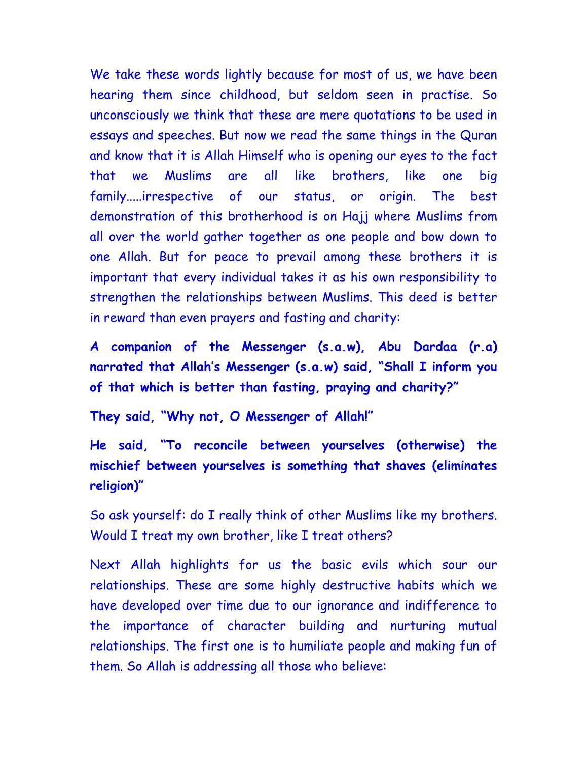We take these words lightly because for most of us, we have been hearing them since childhood, but seldom seen in practise. So unconsciously we think that these are mere quotations to be used in essays and speeches. But now we read the same things in the Quran and know that it is Allah Himself who is opening our eyes to the fact that we Muslims are all like brothers, like one big family.....irrespective of our status, or origin. The best demonstration of this brotherhood is on Hajj where Muslims from all over the world gather together as one people and bow down to one Allah. But for peace to prevail among these brothers it is important that every individual takes it as his own responsibility to strengthen the relationships between Muslims. This deed is better in reward than even prayers and fasting and charity:

A companion of the Messenger (s.a.w), Abu Dardaa (r.a) narrated that Allah's Messenger (s.a.w) said, "Shall I inform you of that which is better than fasting, praying and charity?"

They said, "Why not, O Messenger of Allah!"

He said, "To reconcile between yourselves (otherwise) the mischief between yourselves is something that shaves (eliminates religion)"

So ask yourself: do I really think of other Muslims like my brothers. Would I treat my own brother, like I treat others?

Next Allah highlights for us the basic evils which sour our relationships. These are some highly destructive habits which we have developed over time due to our ignorance and indifference to the importance of character building and nurturing mutual relationships. The first one is to humiliate people and making fun of them. So Allah is addressing all those who believe: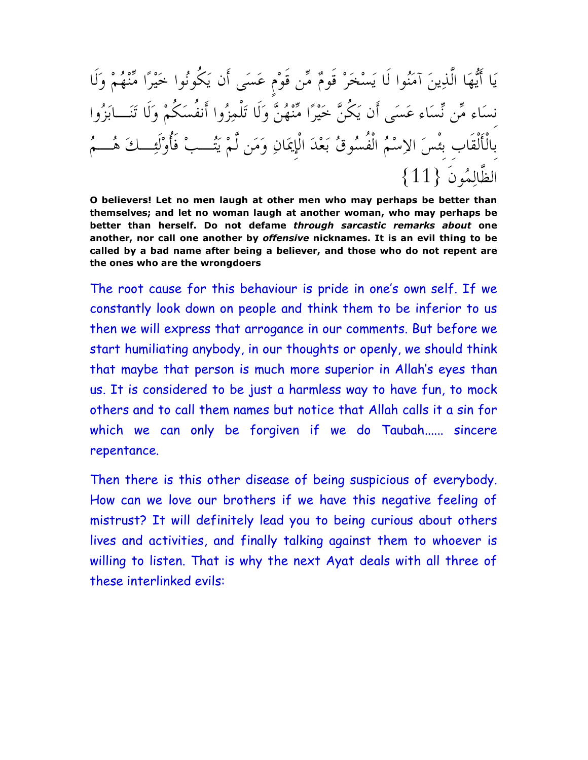يَا أَيُّهَا الَّذِينَ آمَنُوا لَا يَسْخَرْ قَومٌ مِّن قَوْم عَسَى أَن يَكُونُوا خَيْرًا مِّنْهُمْ وَلَا نِسَاء مِّن نَسَاء عَسَى أنْ يَكُنُّ خَيْرًا مُّنْهُنٌّ وَلَا تَلْمِزُوا أَنفُسَكُمْ وَلَا تَنَـــابَزُوا بالألقاب بِئسَ الإسْمُ الفَسْنُوقُ بَعْدَ الْإِيمَانِ وَمَن لَمْ يَتُــبْ فَأُوْلَئِــكَ هُـــمُ  $\{11\}$  الظّالِمُونَ

O believers! Let no men laugh at other men who may perhaps be better than themselves; and let no woman laugh at another woman, who may perhaps be better than herself. Do not defame through sarcastic remarks about one another, nor call one another by offensive nicknames. It is an evil thing to be called by a bad name after being a believer, and those who do not repent are the ones who are the wrongdoers

The root cause for this behaviour is pride in one's own self. If we constantly look down on people and think them to be inferior to us then we will express that arrogance in our comments. But before we start humiliating anybody, in our thoughts or openly, we should think that maybe that person is much more superior in Allah's eyes than us. It is considered to be just a harmless way to have fun, to mock others and to call them names but notice that Allah calls it a sin for which we can only be forgiven if we do Taubah...... sincere repentance.

Then there is this other disease of being suspicious of everybody. How can we love our brothers if we have this negative feeling of mistrust? It will definitely lead you to being curious about others lives and activities, and finally talking against them to whoever is willing to listen. That is why the next Ayat deals with all three of these interlinked evils: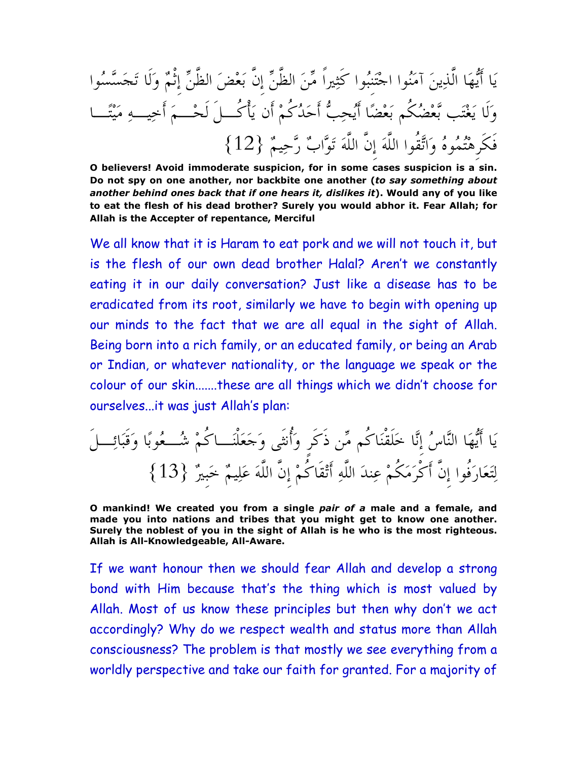يَا أَيُّهَا الذِينَ آمَنُوا اجْتَنِبُوا كَثِيرا مِّنَ الظنِّ إِن بَعْضَ الظنِّ إِنْمٌ وَلا تَجَسَّسُوا وَلَا يَغْتَب بَّعْضُكُم بَعْضًا أَيُحِبُّ أَحَدُكُمْ أَن يَأْكـــل لحْـــمَ أُخِيـــهِ مَيْتًـــا فكرِهْتُمُوهُ وَاتَّقوا اللهَ إِن اللهَ تَوَّابٌ رَّحِيمٌ {12} }

O believers! Avoid immoderate suspicion, for in some cases suspicion is a sin. Do not spy on one another, nor backbite one another (to say something about another behind ones back that if one hears it, dislikes it). Would any of you like to eat the flesh of his dead brother? Surely you would abhor it. Fear Allah; for Allah is the Accepter of repentance, Merciful

We all know that it is Haram to eat pork and we will not touch it, but is the flesh of our own dead brother Halal? Aren't we constantly eating it in our daily conversation? Just like a disease has to be eradicated from its root, similarly we have to begin with opening up our minds to the fact that we are all equal in the sight of Allah. Being born into a rich family, or an educated family, or being an Arab or Indian, or whatever nationality, or the language we speak or the colour of our skin.......these are all things which we didn't choose for ourselves...it was just Allah's plan:

 zh2N
M8-` (>-@8R
TFC\$ ;/>{ (>@ l C& | "#\$  13{ } 'V2l '()  %& (> \$ ) (7/@>\$ %& 68B

O mankind! We created you from a single pair of a male and a female, and made you into nations and tribes that you might get to know one another. Surely the noblest of you in the sight of Allah is he who is the most righteous. Allah is All-Knowledgeable, All-Aware.

If we want honour then we should fear Allah and develop a strong bond with Him because that's the thing which is most valued by Allah. Most of us know these principles but then why don't we act accordingly? Why do we respect wealth and status more than Allah consciousness? The problem is that mostly we see everything from a worldly perspective and take our faith for granted. For a majority of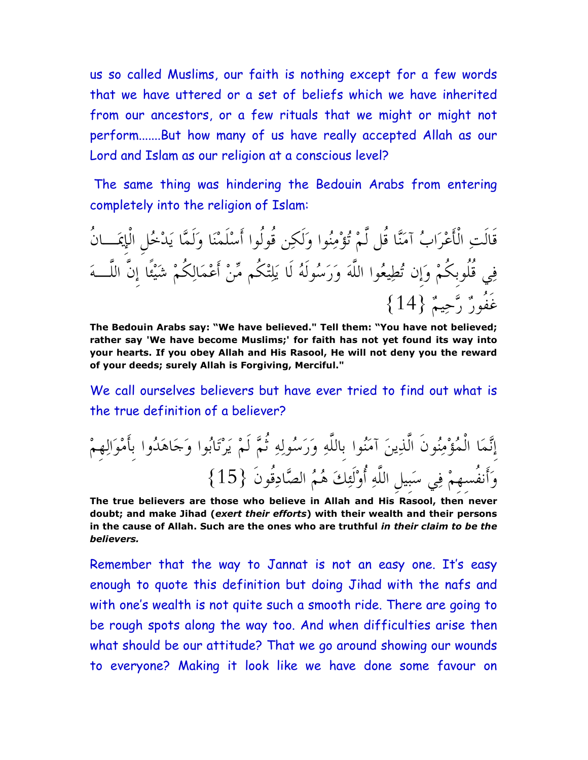us so called Muslims, our faith is nothing except for a few words that we have uttered or a set of beliefs which we have inherited from our ancestors, or a few rituals that we might or might not perform.......But how many of us have really accepted Allah as our Lord and Islam as our religion at a conscious level?

 The same thing was hindering the Bedouin Arabs from entering completely into the religion of Islam:

قالتِ الْأَعْرَابُ آمَنَّا قُل لَمْ تُؤْمِنُوا وَلَكِن قولوا أَسْلَمْنَا وَلَمَّا يَدْخُلِ الإِيمَـــان فِي قلوبِكُمْ وَإِنْ تُطِيعُوا اللَّهَ وَرَسُولُهُ لَا يَلِتْكُم مِّنْ أَعْمَالِكُمْ شَيْئًا إِنَّ اللَّـــهَ غفورٌ رَّحِيمٌ {14}

The Bedouin Arabs say: "We have believed." Tell them: "You have not believed; rather say 'We have become Muslims;' for faith has not yet found its way into your hearts. If you obey Allah and His Rasool, He will not deny you the reward of your deeds; surely Allah is Forgiving, Merciful."

We call ourselves believers but have ever tried to find out what is the true definition of a believer?

إِنَّمَا المُؤْمِنُونَ الذِينَ آمَنُوا بِاللَّهِ وَرَسُولِهِ ثُمَّ لَمْ يَرْتَابُوا وَجَاهَدُوا بِأَمْوَالِهِمْ وَأَنفُسِهِمْ فِي سَبِيلِ اللَّهِ أَوْلَئِكَ هُمُ الصَّادِقُونَ {15}

The true believers are those who believe in Allah and His Rasool, then never doubt; and make Jihad (exert their efforts) with their wealth and their persons in the cause of Allah. Such are the ones who are truthful in their claim to be the believers.

Remember that the way to Jannat is not an easy one. It's easy enough to quote this definition but doing Jihad with the nafs and with one's wealth is not quite such a smooth ride. There are going to be rough spots along the way too. And when difficulties arise then what should be our attitude? That we go around showing our wounds to everyone? Making it look like we have done some favour on